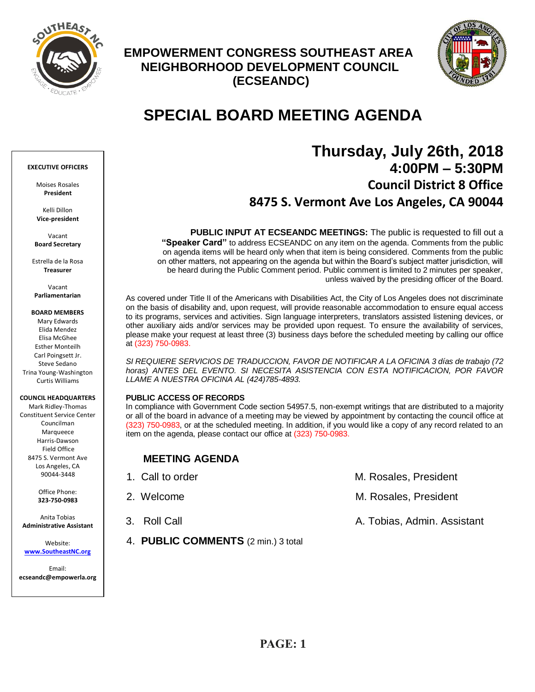

## **EMPOWERMENT CONGRESS SOUTHEAST AREA NEIGHBORHOOD DEVELOPMENT COUNCIL (ECSEANDC)**



# **SPECIAL BOARD MEETING AGENDA**

# **Thursday, July 26th, 2018 4:00PM – 5:30PM Council District 8 Office 8475 S. Vermont Ave Los Angeles, CA 90044**

**PUBLIC INPUT AT ECSEANDC MEETINGS:** The public is requested to fill out a **"Speaker Card"** to address ECSEANDC on any item on the agenda. Comments from the public on agenda items will be heard only when that item is being considered. Comments from the public on other matters, not appearing on the agenda but within the Board's subject matter jurisdiction, will be heard during the Public Comment period. Public comment is limited to 2 minutes per speaker, unless waived by the presiding officer of the Board.

As covered under Title II of the Americans with Disabilities Act, the City of Los Angeles does not discriminate on the basis of disability and, upon request, will provide reasonable accommodation to ensure equal access to its programs, services and activities. Sign language interpreters, translators assisted listening devices, or other auxiliary aids and/or services may be provided upon request. To ensure the availability of services, please make your request at least three (3) business days before the scheduled meeting by calling our office at (323) 750-0983.

*SI REQUIERE SERVICIOS DE TRADUCCION, FAVOR DE NOTIFICAR A LA OFICINA 3 días de trabajo (72*  horas) ANTES DEL EVENTO. SI NECESITA ASISTENCIA CON ESTA NOTIFICACION, POR FAVOR *LLAME A NUESTRA OFICINA AL (424)785-4893.*

## **PUBLIC ACCESS OF RECORDS**

In compliance with Government Code section 54957.5, non-exempt writings that are distributed to a majority or all of the board in advance of a meeting may be viewed by appointment by contacting the council office at (323) 750-0983, or at the scheduled meeting. In addition, if you would like a copy of any record related to an item on the agenda, please contact our office at (323) 750-0983.

## **MEETING AGENDA**

4. **PUBLIC COMMENTS** (2 min.) 3 total

| 1. Call to order | M. Rosales, President       |
|------------------|-----------------------------|
| 2. Welcome       | M. Rosales, President       |
| 3. Roll Call     | A. Tobias, Admin. Assistant |

**EXECUTIVE OFFICERS**

Moises Rosales **President**

Kelli Dillon **Vice-president**

Vacant **Board Secretary**

Estrella de la Rosa **Treasurer**

Vacant **Parliamentarian**

**BOARD MEMBERS**

Mary Edwards Elida Mendez Elisa McGhee Esther Monteilh Carl Poingsett Jr. Steve Sedano Trina Young-Washington Curtis Williams

## **COUNCIL HEADQUARTERS**

Mark Ridley-Thomas Constituent Service Center Councilman Marqueece Harris-Dawson Field Office 8475 S. Vermont Ave Los Angeles, CA 90044-3448

> Office Phone: **323-750-0983**

Anita Tobias **Administrative Assistant**

Website: **[www.SoutheastNC.org](http://www.ecseandc.org/)**

Email: **ecseandc@empowerla.org**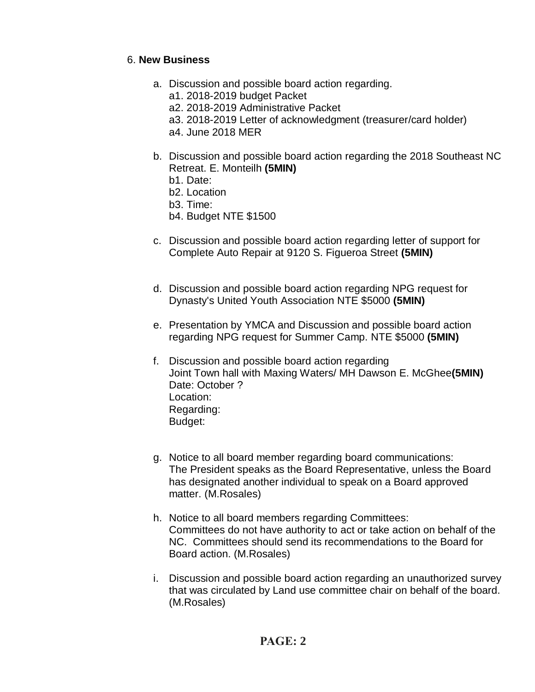## 6. **New Business**

- a. Discussion and possible board action regarding.
	- a1. 2018-2019 budget Packet
	- a2. 2018-2019 Administrative Packet
	- a3. 2018-2019 Letter of acknowledgment (treasurer/card holder)
	- a4. June 2018 MER
- b. Discussion and possible board action regarding the 2018 Southeast NC Retreat. E. Monteilh **(5MIN)**
	- b1. Date:
	- b2. Location
	- b3. Time:
	- b4. Budget NTE \$1500
- c. Discussion and possible board action regarding letter of support for Complete Auto Repair at 9120 S. Figueroa Street **(5MIN)**
- d. Discussion and possible board action regarding NPG request for Dynasty's United Youth Association NTE \$5000 **(5MIN)**
- e. Presentation by YMCA and Discussion and possible board action regarding NPG request for Summer Camp. NTE \$5000 **(5MIN)**
- f. Discussion and possible board action regarding Joint Town hall with Maxing Waters/ MH Dawson E. McGhee**(5MIN)** Date: October ? Location: Regarding: Budget:
- g. Notice to all board member regarding board communications: The President speaks as the Board Representative, unless the Board has designated another individual to speak on a Board approved matter. (M.Rosales)
- h. Notice to all board members regarding Committees: Committees do not have authority to act or take action on behalf of the NC. Committees should send its recommendations to the Board for Board action. (M.Rosales)
- i. Discussion and possible board action regarding an unauthorized survey that was circulated by Land use committee chair on behalf of the board. (M.Rosales)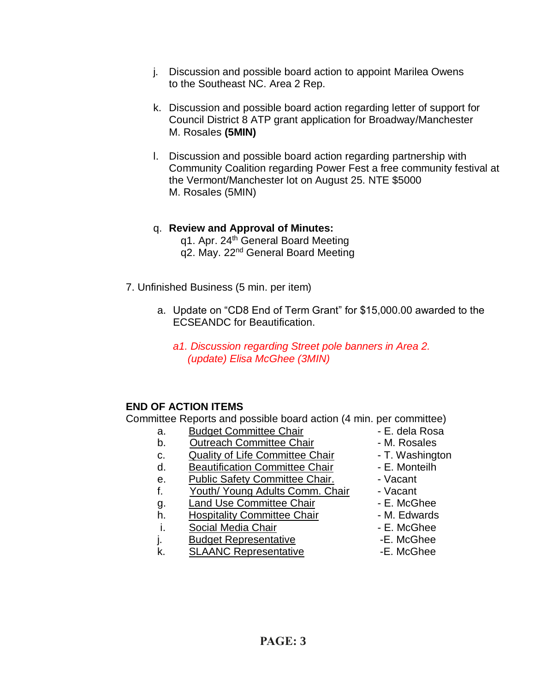- j. Discussion and possible board action to appoint Marilea Owens to the Southeast NC. Area 2 Rep.
- k. Discussion and possible board action regarding letter of support for Council District 8 ATP grant application for Broadway/Manchester M. Rosales **(5MIN)**
- l. Discussion and possible board action regarding partnership with Community Coalition regarding Power Fest a free community festival at the Vermont/Manchester lot on August 25. NTE \$5000 M. Rosales (5MIN)
- q. **Review and Approval of Minutes:** q1. Apr. 24th General Board Meeting q2. May. 22<sup>nd</sup> General Board Meeting
- 7. Unfinished Business (5 min. per item)
	- a. Update on "CD8 End of Term Grant" for \$15,000.00 awarded to the ECSEANDC for Beautification.
		- *a1. Discussion regarding Street pole banners in Area 2. (update) Elisa McGhee (3MIN)*

## **END OF ACTION ITEMS**

Committee Reports and possible board action (4 min. per committee)

- a. Budget Committee Chair **Chair** E. dela Rosa
- b. Outreach Committee Chair **Daniel Access** M. Rosales
- c. Quality of Life Committee Chair T. Washington
- d. Beautification Committee Chair Fame E. Monteilh
- e. Public Safety Committee Chair. Vacant
- f. Youth/ Young Adults Comm. Chair Vacant
- g. Land Use Committee Chair **E. McGhee**
- h. Hospitality Committee Chair M. Edwards
- i. Social Media Chair **Chair 1988** E. McGhee
- j. Budget Representative **-E. McGhee**
- k. SLAANC Representative E. McGhee
- 
- 
- 
- 
- 
- 
- 
- 
- 
- 
- 
-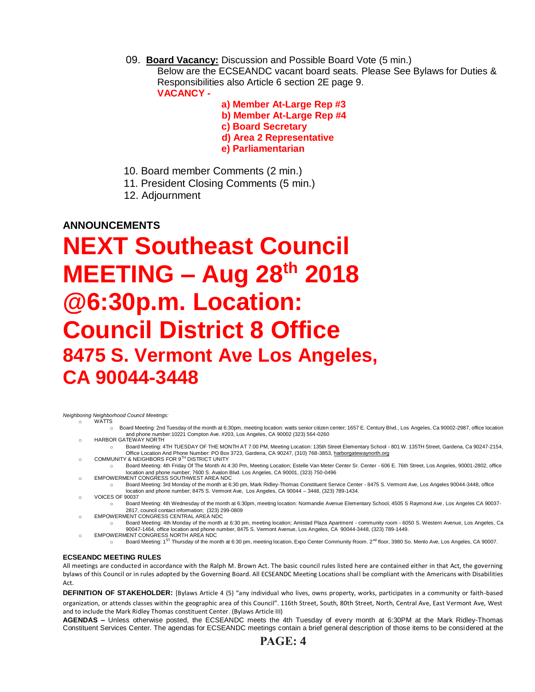09. **Board Vacancy:** Discussion and Possible Board Vote (5 min.) Below are the ECSEANDC vacant board seats. Please See Bylaws for Duties &

Responsibilities also Article 6 section 2E page 9. **VACANCY -**

 **a) Member At-Large Rep #3 b) Member At-Large Rep #4 c) Board Secretary d) Area 2 Representative e) Parliamentarian** 

- 10. Board member Comments (2 min.)
- 11. President Closing Comments (5 min.)
- 12. Adjournment

## **ANNOUNCEMENTS**

# **NEXT Southeast Council MEETING – Aug 28 th 2018 @6:30p.m. Location: Council District 8 Office 8475 S. Vermont Ave Los Angeles, CA 90044-3448**

*Neighboring Neighborhood Council Meetings:*

WATTS

- o Board Meeting: 2nd Tuesday of the month at 6:30pm, meeting location: watts senior citizen center; 1657 E. Century Blvd., Los Angeles, Ca 90002-2987, office location and phone number:10221 Compton Ave. #203, Los Angeles, CA 90002 (323) 564-0260
- o HARBOR GATEWAY NORTH
- o Board Meeting: 4TH TUESDAY OF THE MONTH AT 7:00 PM, Meeting Location: 135th Street Elementary School 801 W. 135TH Street, Gardena, Ca 90247-2154, o Community And Phone Number: PO Box 3723, Gardena, CA 90247, (310) 768-3853, <u>harborgatewaynorth.org وC</u>OMMUNITY & NEIGHBORS FOR 9™ DISTRICT UNITY
- o Board Meeting: 4th Friday Of The Month At 4:30 Pm, Meeting Location; Estelle Van Meter Center Sr. Center 606 E. 76th Street, Los Angeles, 90001-2802, office location and phone number; 7600 S. Avalon Blvd. Los Angeles, CA 90001, (323) 750-0496
- o EMPOWERMENT CONGRESS SOUTHWEST AREA NDC o Board Meeting: 3rd Monday of the month at 6:30 pm, Mark Ridley-Thomas Constituent Service Center - 8475 S. Vermont Ave, Los Angeles 90044-3448, office
- location and phone number; 8475 S. Vermont Ave, Los Angeles, CA 90044 3448, (323) 789-1434. o VOICES OF 90037
- o Board Meeting: 4th Wednesday of the month at 6:30pm, meeting location: Normandie Avenue Elementary School, 4505 S Raymond Ave, Los Angeles CA 90037- 2817, council contact information; (323) 299-0809
- o EMPOWERMENT CONGRESS CENTRAL AREA NDC
- o Board Meeting: 4th Monday of the month at 6:30 pm, meeting location; Amistad Plaza Apartment community room 6050 S. Western Avenue, Los Angeles, Ca 90047-1464, office location and phone number, 8475 S. Vermont Avenue, Los Angeles, CA 90044-3448, (323) 789-1449. o EMPOWERMENT CONGRESS NORTH AREA NDC
	- o Board Meeting: 1ST Thursday of the month at 6:30 pm, meeting location, Expo Center Community Room. 2<sup>nd</sup> floor, 3980 So. Menlo Ave, Los Angeles, CA 90007.

## **ECSEANDC MEETING RULES**

All meetings are conducted in accordance with the Ralph M. Brown Act. The basic council rules listed here are contained either in that Act, the governing bylaws of this Council or in rules adopted by the Governing Board. All ECSEANDC Meeting Locations shall be compliant with the Americans with Disabilities Act.

**DEFINITION OF STAKEHOLDER:** [Bylaws Article 4 (5) "any individual who lives, owns property, works, participates in a community or faith-based organization, or attends classes within the geographic area of this Council". 116th Street, South, 80th Street, North, Central Ave, East Vermont Ave, West

and to include the Mark Ridley Thomas constituent Center. (Bylaws Article III)

**AGENDAS –** Unless otherwise posted, the ECSEANDC meets the 4th Tuesday of every month at 6:30PM at the Mark Ridley-Thomas Constituent Services Center. The agendas for ECSEANDC meetings contain a brief general description of those items to be considered at the